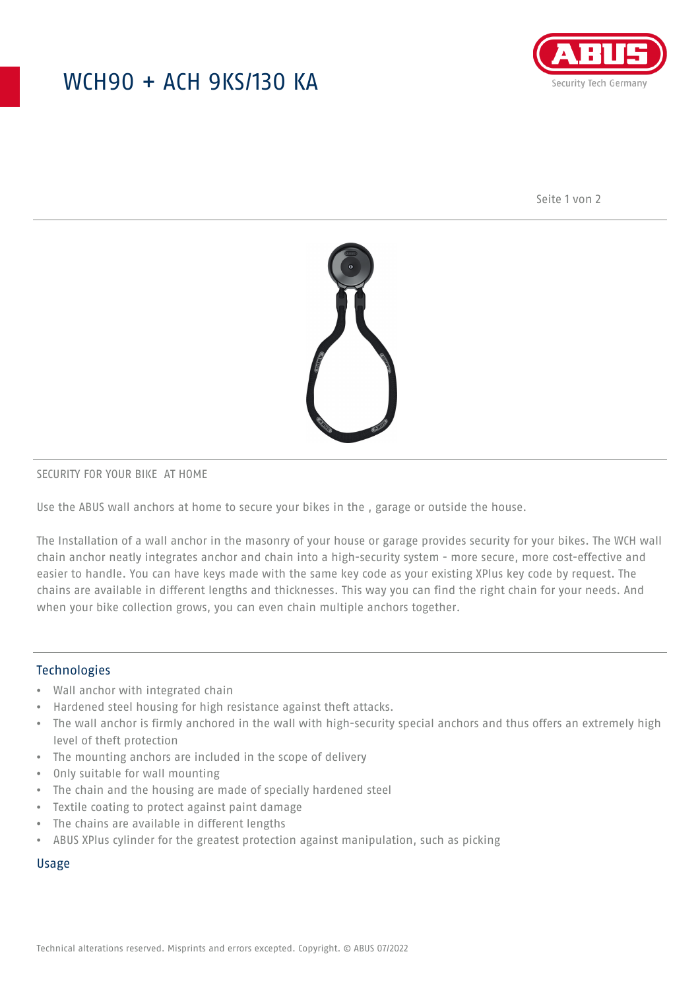## WCH90 + ACH 9KS/130 KA



Seite 1 von 2



#### SECURITY FOR YOUR BIKE AT HOME

Use the ABUS wall anchors at home to secure your bikes in the , garage or outside the house.

The Installation of a wall anchor in the masonry of your house or garage provides security for your bikes. The WCH wall chain anchor neatly integrates anchor and chain into a high-security system - more secure, more cost-effective and easier to handle. You can have keys made with the same key code as your existing XPlus key code by request. The chains are available in different lengths and thicknesses. This way you can find the right chain for your needs. And when your bike collection grows, you can even chain multiple anchors together.

### Technologies

- Wall anchor with integrated chain
- Hardened steel housing for high resistance against theft attacks.
- The wall anchor is firmly anchored in the wall with high-security special anchors and thus offers an extremely high level of theft protection
- The mounting anchors are included in the scope of delivery
- Only suitable for wall mounting
- The chain and the housing are made of specially hardened steel
- Textile coating to protect against paint damage
- The chains are available in different lengths
- ABUS XPlus cylinder for the greatest protection against manipulation, such as picking

#### Usage